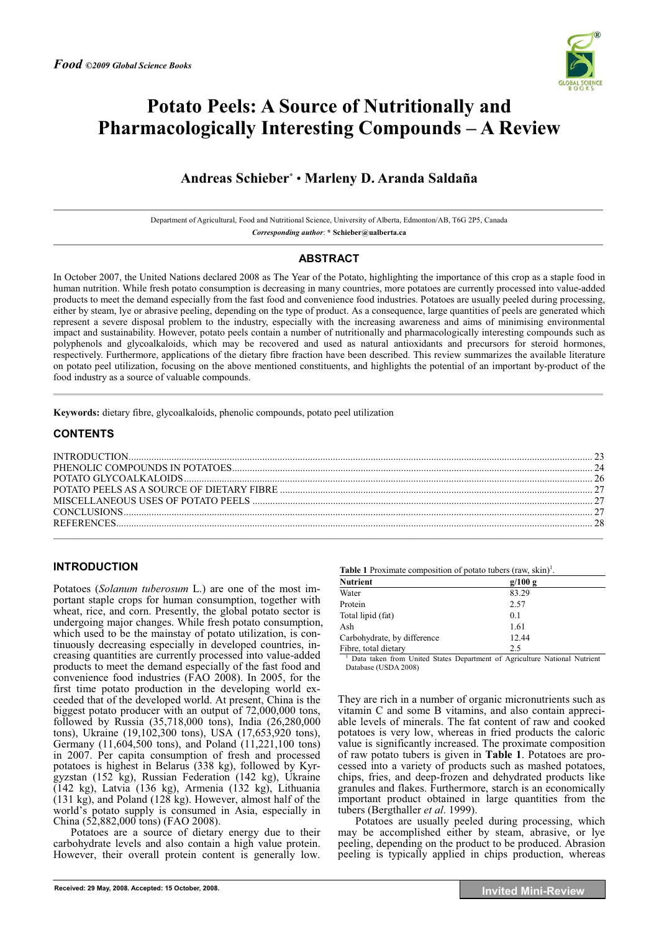

# **Potato Peels: A Source of Nutritionally and Pharmacologically Interesting Compounds – A Review**

# **Andreas Schieber\*** • **Marleny D. Aranda Saldaña**

Department of Agricultural, Food and Nutritional Science, University of Alberta, Edmonton/AB, T6G 2P5, Canada *Corresponding author*: **\* Schieber@ualberta.ca** 

# **ABSTRACT**

In October 2007, the United Nations declared 2008 as The Year of the Potato, highlighting the importance of this crop as a staple food in human nutrition. While fresh potato consumption is decreasing in many countries, more potatoes are currently processed into value-added products to meet the demand especially from the fast food and convenience food industries. Potatoes are usually peeled during processing, either by steam, lye or abrasive peeling, depending on the type of product. As a consequence, large quantities of peels are generated which represent a severe disposal problem to the industry, especially with the increasing awareness and aims of minimising environmental impact and sustainability. However, potato peels contain a number of nutritionally and pharmacologically interesting compounds such as polyphenols and glycoalkaloids, which may be recovered and used as natural antioxidants and precursors for steroid hormones, respectively. Furthermore, applications of the dietary fibre fraction have been described. This review summarizes the available literature on potato peel utilization, focusing on the above mentioned constituents, and highlights the potential of an important by-product of the food industry as a source of valuable compounds.

 $\mathcal{L} = \{ \mathcal{L} = \{ \mathcal{L} = \{ \mathcal{L} = \{ \mathcal{L} = \{ \mathcal{L} = \{ \mathcal{L} = \{ \mathcal{L} = \{ \mathcal{L} = \{ \mathcal{L} = \{ \mathcal{L} = \{ \mathcal{L} = \{ \mathcal{L} = \{ \mathcal{L} = \{ \mathcal{L} = \{ \mathcal{L} = \{ \mathcal{L} = \{ \mathcal{L} = \{ \mathcal{L} = \{ \mathcal{L} = \{ \mathcal{L} = \{ \mathcal{L} = \{ \mathcal{L} = \{ \mathcal{L} = \{ \mathcal{$ 

**Keywords:** dietary fibre, glycoalkaloids, phenolic compounds, potato peel utilization

# **CONTENTS**

# **INTRODUCTION**

Potatoes (*Solanum tuberosum* L.) are one of the most important staple crops for human consumption, together with wheat, rice, and corn. Presently, the global potato sector is undergoing major changes. While fresh potato consumption, which used to be the mainstay of potato utilization, is continuously decreasing especially in developed countries, increasing quantities are currently processed into value-added products to meet the demand especially of the fast food and convenience food industries (FAO 2008). In 2005, for the first time potato production in the developing world exceeded that of the developed world. At present, China is the biggest potato producer with an output of 72,000,000 tons, followed by Russia (35,718,000 tons), India (26,280,000 tons), Ukraine (19,102,300 tons), USA (17,653,920 tons), Germany (11,604,500 tons), and Poland (11,221,100 tons) in 2007. Per capita consumption of fresh and processed potatoes is highest in Belarus (338 kg), followed by Kyrgyzstan (152 kg), Russian Federation (142 kg), Ukraine (142 kg), Latvia (136 kg), Armenia (132 kg), Lithuania  $(131 \text{ kg})$ , and Poland  $(128 \text{ kg})$ . However, almost half of the world's potato supply is consumed in Asia, especially in China (52,882,000 tons) (FAO 2008).

Potatoes are a source of dietary energy due to their carbohydrate levels and also contain a high value protein. However, their overall protein content is generally low.

Table 1 Proximate composition of potato tubers (raw, skin)<sup>1</sup>.

| Nutrient                    | g/100 g |  |
|-----------------------------|---------|--|
| Water                       | 83.29   |  |
| Protein                     | 2.57    |  |
| Total lipid (fat)           | 0.1     |  |
| Ash                         | 1.61    |  |
| Carbohydrate, by difference | 12.44   |  |
| Fibre, total dietary        | 2.5     |  |

<sup>1</sup> Data taken from United States Department of Agriculture National Nutrient Database (USDA 2008)

They are rich in a number of organic micronutrients such as vitamin C and some B vitamins, and also contain appreciable levels of minerals. The fat content of raw and cooked potatoes is very low, whereas in fried products the caloric value is significantly increased. The proximate composition of raw potato tubers is given in **Table 1**. Potatoes are processed into a variety of products such as mashed potatoes, chips, fries, and deep-frozen and dehydrated products like granules and flakes. Furthermore, starch is an economically important product obtained in large quantities from the tubers (Bergthaller *et al*. 1999).

Potatoes are usually peeled during processing, which may be accomplished either by steam, abrasive, or lye peeling, depending on the product to be produced. Abrasion peeling is typically applied in chips production, whereas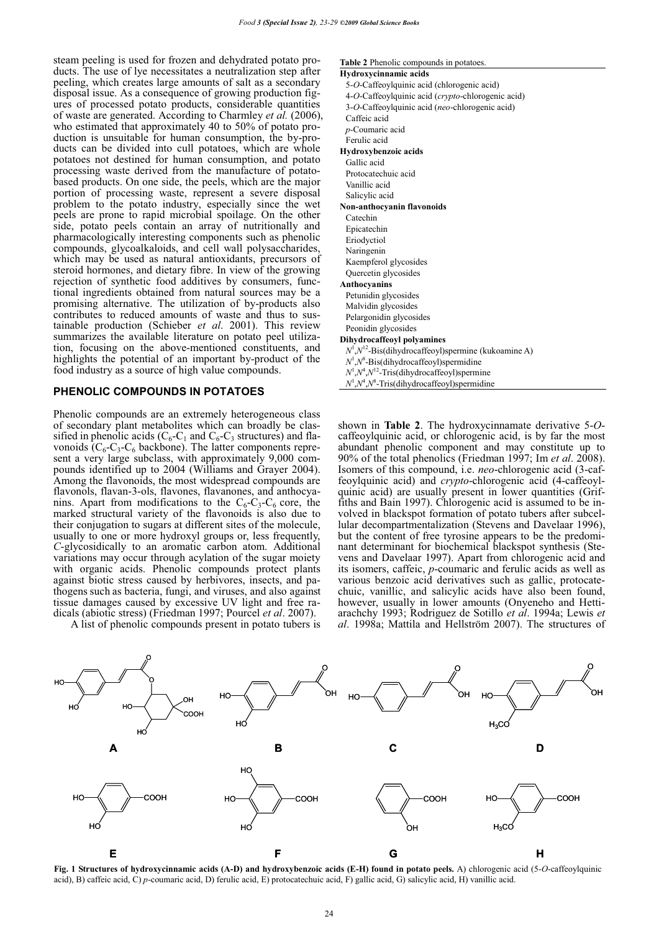steam peeling is used for frozen and dehydrated potato products. The use of lye necessitates a neutralization step after peeling, which creates large amounts of salt as a secondary disposal issue. As a consequence of growing production figures of processed potato products, considerable quantities of waste are generated. According to Charmley *et al.* (2006), who estimated that approximately 40 to 50% of potato production is unsuitable for human consumption, the by-products can be divided into cull potatoes, which are whole potatoes not destined for human consumption, and potato processing waste derived from the manufacture of potatobased products. On one side, the peels, which are the major portion of processing waste, represent a severe disposal problem to the potato industry, especially since the wet peels are prone to rapid microbial spoilage. On the other side, potato peels contain an array of nutritionally and pharmacologically interesting components such as phenolic compounds, glycoalkaloids, and cell wall polysaccharides, which may be used as natural antioxidants, precursors of steroid hormones, and dietary fibre. In view of the growing rejection of synthetic food additives by consumers, functional ingredients obtained from natural sources may be a promising alternative. The utilization of by-products also contributes to reduced amounts of waste and thus to sustainable production (Schieber *et al*. 2001). This review summarizes the available literature on potato peel utilization, focusing on the above-mentioned constituents, and highlights the potential of an important by-product of the food industry as a source of high value compounds.

# **PHENOLIC COMPOUNDS IN POTATOES**

Phenolic compounds are an extremely heterogeneous class of secondary plant metabolites which can broadly be classified in phenolic acids ( $C_6$ - $C_1$  and  $C_6$ - $C_3$  structures) and flavonoids  $(C_6-C_3-C_6$  backbone). The latter components represent a very large subclass, with approximately 9,000 compounds identified up to 2004 (Williams and Grayer 2004). Among the flavonoids, the most widespread compounds are flavonols, flavan-3-ols, flavones, flavanones, and anthocyanins. Apart from modifications to the  $C_6-C_3-C_6$  core, the marked structural variety of the flavonoids is also due to their conjugation to sugars at different sites of the molecule, usually to one or more hydroxyl groups or, less frequently, *C*-glycosidically to an aromatic carbon atom. Additional variations may occur through acylation of the sugar moiety with organic acids. Phenolic compounds protect plants against biotic stress caused by herbivores, insects, and pathogens such as bacteria, fungi, and viruses, and also against tissue damages caused by excessive UV light and free radicals (abiotic stress) (Friedman 1997; Pourcel *et al*. 2007).

A list of phenolic compounds present in potato tubers is

#### **Table 2** Phenolic compounds in potatoes.

| Hydroxycinnamic acids                                     |
|-----------------------------------------------------------|
| 5-O-Caffeoylquinic acid (chlorogenic acid)                |
| 4-O-Caffeoylquinic acid (crypto-chlorogenic acid)         |
| 3-O-Caffeoylquinic acid (neo-chlorogenic acid)            |
| Caffeic acid                                              |
| $p$ -Coumaric acid                                        |
| Ferulic acid                                              |
| Hydroxybenzoic acids                                      |
| Gallic acid                                               |
| Protocatechuic acid                                       |
| Vanillic acid                                             |
| Salicylic acid                                            |
| Non-anthocyanin flavonoids                                |
| Catechin                                                  |
| Epicatechin                                               |
| Eriodyctiol                                               |
| Naringenin                                                |
| Kaempferol glycosides                                     |
| Quercetin glycosides                                      |
| Anthocyanins                                              |
| Petunidin glycosides                                      |
| Malvidin glycosides                                       |
| Pelargonidin glycosides                                   |
| Peonidin glycosides                                       |
| <b>Dihydrocaffeoyl polyamines</b>                         |
| $N^1, N^{12}$ -Bis(dihydrocaffeoyl)spermine (kukoamine A) |
| $N^1, N^8$ -Bis(dihydrocaffeoyl)spermidine                |
| $N^1, N^4, N^{12}$ -Tris(dihydrocaffeoyl)spermine         |
| $N^1, N^4, N^8$ -Tris(dihydrocaffeoyl)spermidine          |

shown in **Table 2**. The hydroxycinnamate derivative 5-*O*- caffeoylquinic acid, or chlorogenic acid, is by far the most abundant phenolic component and may constitute up to 90% of the total phenolics (Friedman 1997; Im *et al*. 2008). Isomers of this compound, i.e. *neo*-chlorogenic acid (3-caffeoylquinic acid) and *crypto*-chlorogenic acid (4-caffeoylquinic acid) are usually present in lower quantities (Griffiths and Bain 1997). Chlorogenic acid is assumed to be involved in blackspot formation of potato tubers after subcellular decompartmentalization (Stevens and Davelaar 1996), but the content of free tyrosine appears to be the predominant determinant for biochemical blackspot synthesis (Stevens and Davelaar 1997). Apart from chlorogenic acid and its isomers, caffeic, *p*-coumaric and ferulic acids as well as various benzoic acid derivatives such as gallic, protocatechuic, vanillic, and salicylic acids have also been found, however, usually in lower amounts (Onyeneho and Hettiarachchy 1993; Rodriguez de Sotillo *et al*. 1994a; Lewis *et al*. 1998a; Mattila and Hellström 2007). The structures of



**Fig. 1 Structures of hydroxycinnamic acids (A-D) and hydroxybenzoic acids (E-H) found in potato peels.** A) chlorogenic acid (5-*O*-caffeoylquinic acid), B) caffeic acid, C) *p*-coumaric acid, D) ferulic acid, E) protocatechuic acid, F) gallic acid, G) salicylic acid, H) vanillic acid.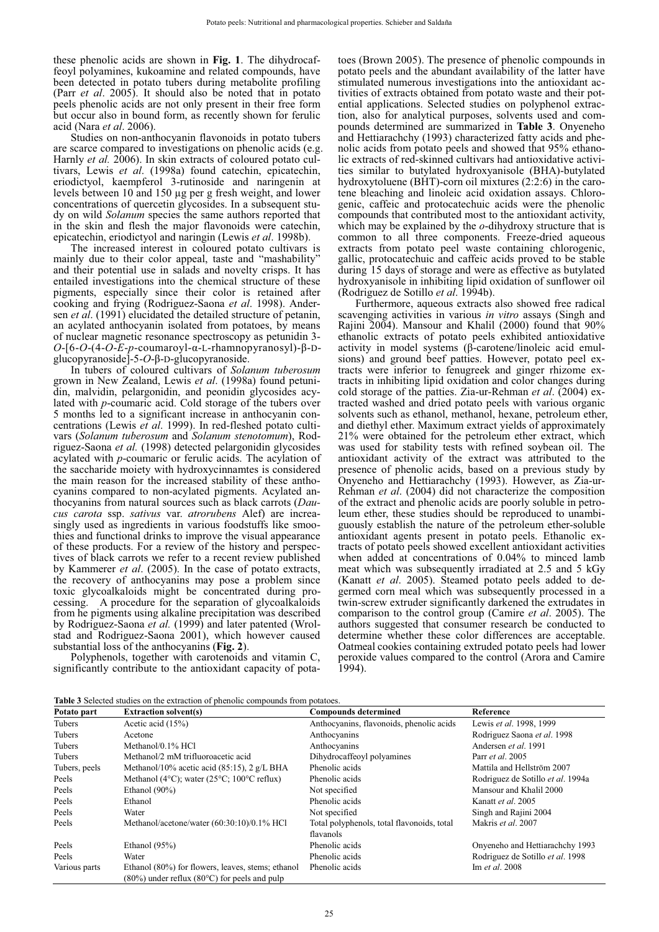these phenolic acids are shown in **Fig. 1**. The dihydrocaffeoyl polyamines, kukoamine and related compounds, have been detected in potato tubers during metabolite profiling (Parr *et al*. 2005). It should also be noted that in potato peels phenolic acids are not only present in their free form but occur also in bound form, as recently shown for ferulic acid (Nara *et al*. 2006).

Studies on non-anthocyanin flavonoids in potato tubers are scarce compared to investigations on phenolic acids (e.g. Harnly *et al.* 2006). In skin extracts of coloured potato cultivars, Lewis *et al*. (1998a) found catechin, epicatechin, eriodictyol, kaempferol 3-rutinoside and naringenin at levels between 10 and 150 μg per g fresh weight, and lower concentrations of quercetin glycosides. In a subsequent study on wild *Solanum* species the same authors reported that in the skin and flesh the major flavonoids were catechin, epicatechin, eriodictyol and naringin (Lewis *et al*. 1998b).

The increased interest in coloured potato cultivars is mainly due to their color appeal, taste and "mashability" and their potential use in salads and novelty crisps. It has entailed investigations into the chemical structure of these pigments, especially since their color is retained after cooking and frying (Rodriguez-Saona *et al*. 1998). Andersen *et al*. (1991) elucidated the detailed structure of petanin, an acylated anthocyanin isolated from potatoes, by means of nuclear magnetic resonance spectroscopy as petunidin 3-  $O$ -[6- $O$ -(4- $O$ -*E*- $p$ -coumaroyl- $\alpha$ -L-rhamnopyranosyl)- $\beta$ -Dglucopyranoside $\hat{ }$ -5-*O*- $\beta$ -D-glucopyranoside.

In tubers of coloured cultivars of *Solanum tuberosum*  grown in New Zealand, Lewis *et al*. (1998a) found petunidin, malvidin, pelargonidin, and peonidin glycosides acylated with *p*-coumaric acid. Cold storage of the tubers over 5 months led to a significant increase in anthocyanin concentrations (Lewis *et al*. 1999). In red-fleshed potato cultivars (*Solanum tuberosum* and *Solanum stenotomum*), Rodriguez-Saona *et al.* (1998) detected pelargonidin glycosides acylated with *p*-coumaric or ferulic acids. The acylation of the saccharide moiety with hydroxycinnamtes is considered the main reason for the increased stability of these anthocyanins compared to non-acylated pigments. Acylated anthocyanins from natural sources such as black carrots (*Daucus carota* ssp. *sativus* var. *atrorubens* Alef) are increasingly used as ingredients in various foodstuffs like smoothies and functional drinks to improve the visual appearance of these products. For a review of the history and perspectives of black carrots we refer to a recent review published by Kammerer *et al*. (2005). In the case of potato extracts, the recovery of anthocyanins may pose a problem since toxic glycoalkaloids might be concentrated during processing. A procedure for the separation of glycoalkaloids from he pigments using alkaline precipitation was described by Rodriguez-Saona *et al.* (1999) and later patented (Wrolstad and Rodriguez-Saona 2001), which however caused substantial loss of the anthocyanins (**Fig. 2**).

Polyphenols, together with carotenoids and vitamin C, significantly contribute to the antioxidant capacity of potatoes (Brown 2005). The presence of phenolic compounds in potato peels and the abundant availability of the latter have stimulated numerous investigations into the antioxidant activities of extracts obtained from potato waste and their potential applications. Selected studies on polyphenol extraction, also for analytical purposes, solvents used and compounds determined are summarized in **Table 3**. Onyeneho and Hettiarachchy (1993) characterized fatty acids and phenolic acids from potato peels and showed that 95% ethanolic extracts of red-skinned cultivars had antioxidative activities similar to butylated hydroxyanisole (BHA)-butylated hydroxytoluene (BHT)-corn oil mixtures (2:2:6) in the carotene bleaching and linoleic acid oxidation assays. Chlorogenic, caffeic and protocatechuic acids were the phenolic compounds that contributed most to the antioxidant activity, which may be explained by the *o*-dihydroxy structure that is common to all three components. Freeze-dried aqueous extracts from potato peel waste containing chlorogenic, gallic, protocatechuic and caffeic acids proved to be stable during 15 days of storage and were as effective as butylated hydroxyanisole in inhibiting lipid oxidation of sunflower oil (Rodriguez de Sotillo *et al*. 1994b).

Furthermore, aqueous extracts also showed free radical scavenging activities in various *in vitro* assays (Singh and Rajini 2004). Mansour and Khalil (2000) found that 90% ethanolic extracts of potato peels exhibited antioxidative activity in model systems (B-carotene/linoleic acid emulsions) and ground beef patties. However, potato peel extracts were inferior to fenugreek and ginger rhizome extracts in inhibiting lipid oxidation and color changes during cold storage of the patties. Zia-ur-Rehman *et al*. (2004) extracted washed and dried potato peels with various organic solvents such as ethanol, methanol, hexane, petroleum ether, and diethyl ether. Maximum extract yields of approximately 21% were obtained for the petroleum ether extract, which was used for stability tests with refined soybean oil. The antioxidant activity of the extract was attributed to the presence of phenolic acids, based on a previous study by Onyeneho and Hettiarachchy (1993). However, as Zia-ur-Rehman *et al*. (2004) did not characterize the composition of the extract and phenolic acids are poorly soluble in petroleum ether, these studies should be reproduced to unambiguously establish the nature of the petroleum ether-soluble antioxidant agents present in potato peels. Ethanolic extracts of potato peels showed excellent antioxidant activities when added at concentrations of 0.04% to minced lamb meat which was subsequently irradiated at 2.5 and 5 kGy (Kanatt *et al*. 2005). Steamed potato peels added to degermed corn meal which was subsequently processed in a twin-screw extruder significantly darkened the extrudates in comparison to the control group (Camire *et al*. 2005). The authors suggested that consumer research be conducted to determine whether these color differences are acceptable. Oatmeal cookies containing extruded potato peels had lower peroxide values compared to the control (Arora and Camire 1994).

| Table 3 Selected studies on the extraction of phenolic compounds from potatoes. |  |
|---------------------------------------------------------------------------------|--|
|---------------------------------------------------------------------------------|--|

| Potato part   | <b>Extraction solvent(s)</b>                                                                                  | <b>Compounds determined</b>                             | Reference                         |
|---------------|---------------------------------------------------------------------------------------------------------------|---------------------------------------------------------|-----------------------------------|
| Tubers        | Acetic acid $(15%)$                                                                                           | Anthocyanins, flavonoids, phenolic acids                | Lewis et al. 1998, 1999           |
| Tubers        | Acetone                                                                                                       | Anthocyanins                                            | Rodriguez Saona et al. 1998       |
| Tubers        | Methanol/0.1% HCl                                                                                             | Anthocyanins                                            | Andersen et al. 1991              |
| Tubers        | Methanol/2 mM trifluoroacetic acid                                                                            | Dihydrocaffeoyl polyamines                              | Parr <i>et al.</i> 2005           |
| Tubers, peels | Methanol/10% acetic acid $(85:15)$ , 2 g/L BHA                                                                | Phenolic acids                                          | Mattila and Hellström 2007        |
| Peels         | Methanol (4 $\degree$ C); water (25 $\degree$ C; 100 $\degree$ C reflux)                                      | Phenolic acids                                          | Rodriguez de Sotillo et al. 1994a |
| Peels         | Ethanol $(90\%)$                                                                                              | Not specified                                           | Mansour and Khalil 2000           |
| Peels         | Ethanol                                                                                                       | Phenolic acids                                          | Kanatt et al. 2005                |
| Peels         | Water                                                                                                         | Not specified                                           | Singh and Rajini 2004             |
| Peels         | Methanol/acetone/water (60:30:10)/0.1% HCl                                                                    | Total polyphenols, total flavonoids, total<br>flavanols | Makris et al. 2007                |
| Peels         | Ethanol $(95\%)$                                                                                              | Phenolic acids                                          | Onyeneho and Hettiarachchy 1993   |
| Peels         | Water                                                                                                         | Phenolic acids                                          | Rodriguez de Sotillo et al. 1998  |
| Various parts | Ethanol (80%) for flowers, leaves, stems; ethanol<br>$(80\%)$ under reflux $(80\degree C)$ for peels and pulp | Phenolic acids                                          | Im et al. 2008                    |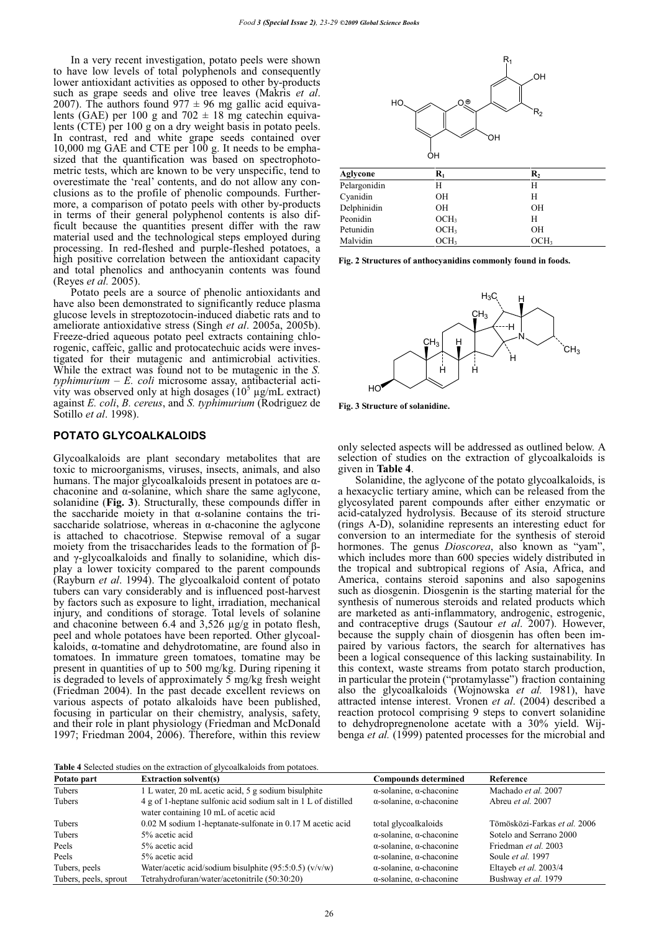In a very recent investigation, potato peels were shown to have low levels of total polyphenols and consequently lower antioxidant activities as opposed to other by-products such as grape seeds and olive tree leaves (Makris *et al.* 2007). The authors found  $977 \pm 96$  mg gallic acid equivalents (GAE) per 100 g and 702  $\pm$  18 mg catechin equivalents (CTE) per 100 g on a dry weight basis in potato peels. In contrast, red and white grape seeds contained over 10,000 mg GAE and CTE per 100 g. It needs to be emphasized that the quantification was based on spectrophotometric tests, which are known to be very unspecific, tend to overestimate the 'real' contents, and do not allow any conclusions as to the profile of phenolic compounds. Furthermore, a comparison of potato peels with other by-products in terms of their general polyphenol contents is also difficult because the quantities present differ with the raw material used and the technological steps employed during processing. In red-fleshed and purple-fleshed potatoes, a high positive correlation between the antioxidant capacity and total phenolics and anthocyanin contents was found (Reyes *et al.* 2005).

Potato peels are a source of phenolic antioxidants and have also been demonstrated to significantly reduce plasma glucose levels in streptozotocin-induced diabetic rats and to ameliorate antioxidative stress (Singh *et al*. 2005a, 2005b). Freeze-dried aqueous potato peel extracts containing chlorogenic, caffeic, gallic and protocatechuic acids were investigated for their mutagenic and antimicrobial activities. While the extract was found not to be mutagenic in the *S. typhimurium – E. coli* microsome assay, antibacterial activity was observed only at high dosages  $(10<sup>5</sup> \mu g/mL$  extract) against *E. coli*, *B. cereus*, and *S. typhimurium* (Rodriguez de Sotillo *et al*. 1998).

### **POTATO GLYCOALKALOIDS**

Glycoalkaloids are plant secondary metabolites that are toxic to microorganisms, viruses, insects, animals, and also humans. The major glycoalkaloids present in potatoes are  $\alpha$ chaconine and  $\alpha$ -solanine, which share the same aglycone, solanidine (**Fig. 3**). Structurally, these compounds differ in the saccharide moiety in that  $\alpha$ -solanine contains the trisaccharide solatriose, whereas in  $\alpha$ -chaconine the aglycone is attached to chacotriose. Stepwise removal of a sugar moiety from the trisaccharides leads to the formation of  $\beta$ and  $\gamma$ -glycoalkaloids and finally to solanidine, which display a lower toxicity compared to the parent compounds (Rayburn *et al*. 1994). The glycoalkaloid content of potato tubers can vary considerably and is influenced post-harvest by factors such as exposure to light, irradiation, mechanical injury, and conditions of storage. Total levels of solanine and chaconine between 6.4 and 3,526 μg/g in potato flesh, peel and whole potatoes have been reported. Other glycoal $kaloids, \alpha$ -tomatine and dehydrotomatine, are found also in tomatoes. In immature green tomatoes, tomatine may be present in quantities of up to 500 mg/kg. During ripening it is degraded to levels of approximately 5 mg/kg fresh weight (Friedman 2004). In the past decade excellent reviews on various aspects of potato alkaloids have been published, focusing in particular on their chemistry, analysis, safety, and their role in plant physiology (Friedman and McDonald 1997; Friedman 2004, 2006). Therefore, within this review



| Aglycone     | $\mathbf{R}_1$   | $\mathbf{R}_2$   |  |
|--------------|------------------|------------------|--|
| Pelargonidin | Н                | Н                |  |
| Cyanidin     | OН               | Н                |  |
| Delphinidin  | OН               | OН               |  |
| Peonidin     | OCH <sub>3</sub> | Н                |  |
| Petunidin    | OCH <sub>3</sub> | OН               |  |
| Malvidin     | OCH <sub>3</sub> | OCH <sub>3</sub> |  |

**Fig. 2 Structures of anthocyanidins commonly found in foods.**



**Fig. 3 Structure of solanidine.**

only selected aspects will be addressed as outlined below. A selection of studies on the extraction of glycoalkaloids is given in **Table 4**.

Solanidine, the aglycone of the potato glycoalkaloids, is a hexacyclic tertiary amine, which can be released from the glycosylated parent compounds after either enzymatic or acid-catalyzed hydrolysis. Because of its steroid structure (rings A-D), solanidine represents an interesting educt for conversion to an intermediate for the synthesis of steroid hormones. The genus *Dioscorea*, also known as "yam", which includes more than 600 species widely distributed in the tropical and subtropical regions of Asia, Africa, and America, contains steroid saponins and also sapogenins such as diosgenin. Diosgenin is the starting material for the synthesis of numerous steroids and related products which are marketed as anti-inflammatory, androgenic, estrogenic, and contraceptive drugs (Sautour *et al*. 2007). However, because the supply chain of diosgenin has often been impaired by various factors, the search for alternatives has been a logical consequence of this lacking sustainability. In this context, waste streams from potato starch production, in particular the protein ("protamylasse") fraction containing also the glycoalkaloids (Wojnowska *et al.* 1981), have attracted intense interest. Vronen *et al*. (2004) described a reaction protocol comprising 9 steps to convert solanidine to dehydropregnenolone acetate with a 30% yield. Wijbenga *et al.* (1999) patented processes for the microbial and

**Table 4** Selected studies on the extraction of glycoalkaloids from potatoes.

| Tuble 1 Delected biddies on the extraction of Effecamatorias from potatoes. |                                                                                                         |                                         |                              |
|-----------------------------------------------------------------------------|---------------------------------------------------------------------------------------------------------|-----------------------------------------|------------------------------|
| Potato part                                                                 | <b>Extraction solvent(s)</b>                                                                            | <b>Compounds determined</b>             | Reference                    |
| Tubers                                                                      | 1 L water, 20 mL acetic acid, 5 g sodium bisulphite                                                     | $\alpha$ -solanine, $\alpha$ -chaconine | Machado et al. 2007          |
| Tubers                                                                      | 4 g of 1-heptane sulfonic acid sodium salt in 1 L of distilled<br>water containing 10 mL of acetic acid | $\alpha$ -solanine, $\alpha$ -chaconine | Abreu et al. 2007            |
| Tubers                                                                      | 0.02 M sodium 1-heptanate-sulfonate in 0.17 M acetic acid                                               | total glycoalkaloids                    | Tömösközi-Farkas et al. 2006 |
| Tubers                                                                      | 5% acetic acid                                                                                          | $\alpha$ -solanine, $\alpha$ -chaconine | Sotelo and Serrano 2000      |
| Peels                                                                       | 5% acetic acid                                                                                          | $\alpha$ -solanine, $\alpha$ -chaconine | Friedman et al. 2003         |
| Peels                                                                       | 5% acetic acid                                                                                          | $\alpha$ -solanine, $\alpha$ -chaconine | Soule et al. 1997            |
| Tubers, peels                                                               | Water/acetic acid/sodium bisulphite $(95:5:0.5)$ (v/v/w)                                                | $\alpha$ -solanine, $\alpha$ -chaconine | Eltayeb et al. 2003/4        |
| Tubers, peels, sprout                                                       | Tetrahydrofuran/water/acetonitrile (50:30:20)                                                           | $\alpha$ -solanine, $\alpha$ -chaconine | Bushway et al. 1979          |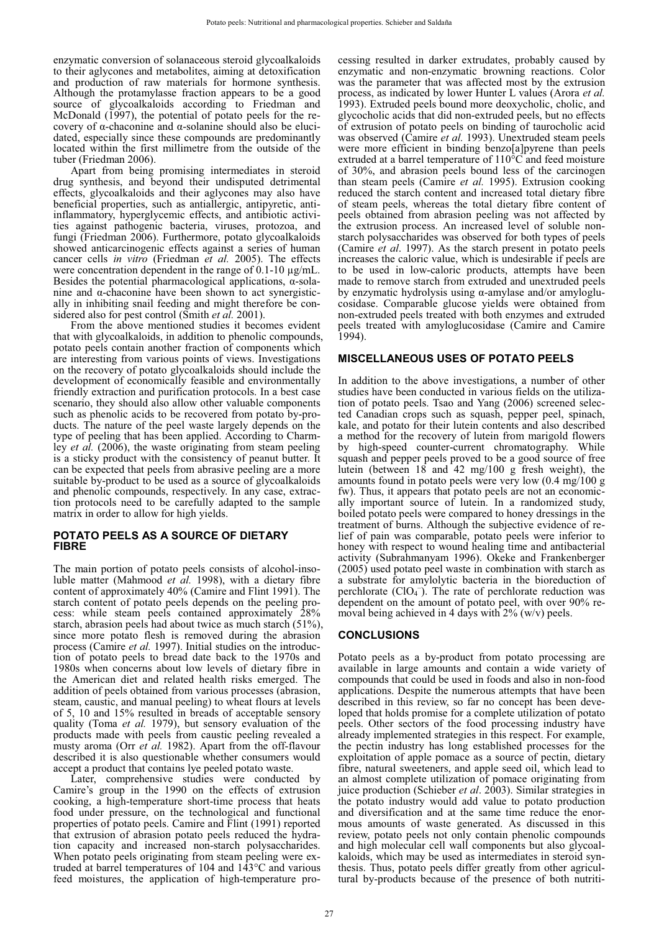enzymatic conversion of solanaceous steroid glycoalkaloids to their aglycones and metabolites, aiming at detoxification and production of raw materials for hormone synthesis. Although the protamylasse fraction appears to be a good source of glycoalkaloids according to Friedman and McDonald (1997), the potential of potato peels for the recovery of  $\alpha$ -chaconine and  $\alpha$ -solanine should also be elucidated, especially since these compounds are predominantly located within the first millimetre from the outside of the tuber (Friedman 2006).

Apart from being promising intermediates in steroid drug synthesis, and beyond their undisputed detrimental effects, glycoalkaloids and their aglycones may also have beneficial properties, such as antiallergic, antipyretic, antiinflammatory, hyperglycemic effects, and antibiotic activities against pathogenic bacteria, viruses, protozoa, and fungi (Friedman 2006). Furthermore, potato glycoalkaloids showed anticarcinogenic effects against a series of human cancer cells *in vitro* (Friedman *et al.* 2005). The effects were concentration dependent in the range of 0.1-10 μg/mL. Besides the potential pharmacological applications,  $\alpha$ -solanine and  $\alpha$ -chaconine have been shown to act synergistically in inhibiting snail feeding and might therefore be considered also for pest control (Smith *et al.* 2001).

From the above mentioned studies it becomes evident that with glycoalkaloids, in addition to phenolic compounds, potato peels contain another fraction of components which are interesting from various points of views. Investigations on the recovery of potato glycoalkaloids should include the development of economically feasible and environmentally friendly extraction and purification protocols. In a best case scenario, they should also allow other valuable components such as phenolic acids to be recovered from potato by-products. The nature of the peel waste largely depends on the type of peeling that has been applied. According to Charmley *et al.* (2006), the waste originating from steam peeling is a sticky product with the consistency of peanut butter. It can be expected that peels from abrasive peeling are a more suitable by-product to be used as a source of glycoalkaloids and phenolic compounds, respectively. In any case, extraction protocols need to be carefully adapted to the sample matrix in order to allow for high yields.

# **POTATO PEELS AS A SOURCE OF DIETARY FIBRE**

The main portion of potato peels consists of alcohol-insoluble matter (Mahmood *et al.* 1998), with a dietary fibre content of approximately 40% (Camire and Flint 1991). The starch content of potato peels depends on the peeling process: while steam peels contained approximately 28% starch, abrasion peels had about twice as much starch (51%), since more potato flesh is removed during the abrasion process (Camire *et al.* 1997). Initial studies on the introduction of potato peels to bread date back to the 1970s and 1980s when concerns about low levels of dietary fibre in the American diet and related health risks emerged. The addition of peels obtained from various processes (abrasion, steam, caustic, and manual peeling) to wheat flours at levels of 5, 10 and 15% resulted in breads of acceptable sensory quality (Toma *et al.* 1979), but sensory evaluation of the products made with peels from caustic peeling revealed a musty aroma (Orr *et al.* 1982). Apart from the off-flavour described it is also questionable whether consumers would accept a product that contains lye peeled potato waste.

Later, comprehensive studies were conducted by Camire's group in the 1990 on the effects of extrusion cooking, a high-temperature short-time process that heats food under pressure, on the technological and functional properties of potato peels. Camire and Flint (1991) reported that extrusion of abrasion potato peels reduced the hydration capacity and increased non-starch polysaccharides. When potato peels originating from steam peeling were extruded at barrel temperatures of 104 and 143°C and various feed moistures, the application of high-temperature processing resulted in darker extrudates, probably caused by enzymatic and non-enzymatic browning reactions. Color was the parameter that was affected most by the extrusion process, as indicated by lower Hunter L values (Arora *et al.*  1993). Extruded peels bound more deoxycholic, cholic, and glycocholic acids that did non-extruded peels, but no effects of extrusion of potato peels on binding of taurocholic acid was observed (Camire *et al.* 1993). Unextruded steam peels were more efficient in binding benzo[a]pyrene than peels extruded at a barrel temperature of 110°C and feed moisture of 30%, and abrasion peels bound less of the carcinogen than steam peels (Camire *et al.* 1995). Extrusion cooking reduced the starch content and increased total dietary fibre of steam peels, whereas the total dietary fibre content of peels obtained from abrasion peeling was not affected by the extrusion process. An increased level of soluble nonstarch polysaccharides was observed for both types of peels (Camire *et al*. 1997). As the starch present in potato peels increases the caloric value, which is undesirable if peels are to be used in low-caloric products, attempts have been made to remove starch from extruded and unextruded peels by enzymatic hydrolysis using  $\alpha$ -amylase and/or amyloglucosidase. Comparable glucose yields were obtained from non-extruded peels treated with both enzymes and extruded peels treated with amyloglucosidase (Camire and Camire 1994).

### **MISCELLANEOUS USES OF POTATO PEELS**

In addition to the above investigations, a number of other studies have been conducted in various fields on the utilization of potato peels. Tsao and Yang (2006) screened selected Canadian crops such as squash, pepper peel, spinach, kale, and potato for their lutein contents and also described a method for the recovery of lutein from marigold flowers by high-speed counter-current chromatography. While squash and pepper peels proved to be a good source of free lutein (between 18 and 42 mg/100 g fresh weight), the amounts found in potato peels were very low (0.4 mg/100 g fw). Thus, it appears that potato peels are not an economically important source of lutein. In a randomized study, boiled potato peels were compared to honey dressings in the treatment of burns. Although the subjective evidence of relief of pain was comparable, potato peels were inferior to honey with respect to wound healing time and antibacterial activity (Subrahmanyam 1996). Okeke and Frankenberger (2005) used potato peel waste in combination with starch as a substrate for amylolytic bacteria in the bioreduction of perchlorate  $(CIO<sub>4</sub>$ ). The rate of perchlorate reduction was dependent on the amount of potato peel, with over 90% removal being achieved in 4 days with  $2\%$  (w/v) peels.

# **CONCLUSIONS**

Potato peels as a by-product from potato processing are available in large amounts and contain a wide variety of compounds that could be used in foods and also in non-food applications. Despite the numerous attempts that have been described in this review, so far no concept has been developed that holds promise for a complete utilization of potato peels. Other sectors of the food processing industry have already implemented strategies in this respect. For example, the pectin industry has long established processes for the exploitation of apple pomace as a source of pectin, dietary fibre, natural sweeteners, and apple seed oil, which lead to an almost complete utilization of pomace originating from juice production (Schieber *et al*. 2003). Similar strategies in the potato industry would add value to potato production and diversification and at the same time reduce the enormous amounts of waste generated. As discussed in this review, potato peels not only contain phenolic compounds and high molecular cell wall components but also glycoalkaloids, which may be used as intermediates in steroid synthesis. Thus, potato peels differ greatly from other agricultural by-products because of the presence of both nutriti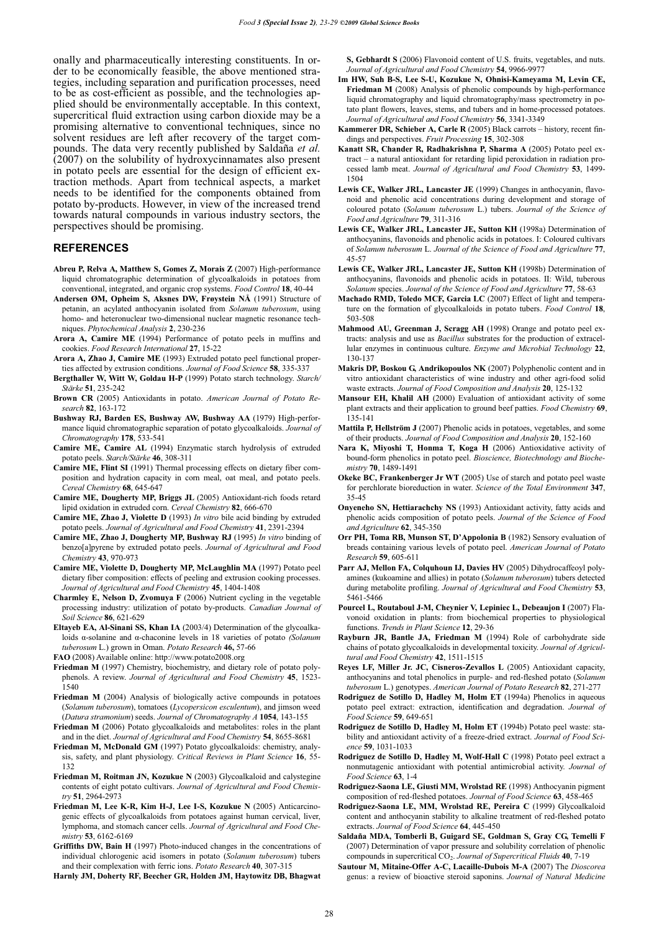onally and pharmaceutically interesting constituents. In order to be economically feasible, the above mentioned strategies, including separation and purification processes, need to be as cost-efficient as possible, and the technologies applied should be environmentally acceptable. In this context, supercritical fluid extraction using carbon dioxide may be a promising alternative to conventional techniques, since no solvent residues are left after recovery of the target compounds. The data very recently published by Saldaña *et al.*  (2007) on the solubility of hydroxycinnamates also present in potato peels are essential for the design of efficient extraction methods. Apart from technical aspects, a market needs to be identified for the components obtained from potato by-products. However, in view of the increased trend towards natural compounds in various industry sectors, the perspectives should be promising.

### **REFERENCES**

- **Abreu P, Relva A, Matthew S, Gomes Z, Morais Z** (2007) High-performance liquid chromatographic determination of glycoalkaloids in potatoes from conventional, integrated, and organic crop systems. *Food Control* **18**, 40-44
- **Andersen ØM, Opheim S, Aksnes DW, Frøystein NÅ** (1991) Structure of petanin, an acylated anthocyanin isolated from *Solanum tuberosum*, using homo- and heteronuclear two-dimensional nuclear magnetic resonance techniques. *Phytochemical Analysis* **2**, 230-236
- **Arora A, Camire ME** (1994) Performance of potato peels in muffins and cookies. *Food Research International* **27**, 15-22
- **Arora A, Zhao J, Camire ME** (1993) Extruded potato peel functional properties affected by extrusion conditions. *Journal of Food Science* **58**, 335-337
- **Bergthaller W, Witt W, Goldau H-P** (1999) Potato starch technology. *Starch/ Stärke* **51**, 235-242
- **Brown CR** (2005) Antioxidants in potato. *American Journal of Potato Research* **82**, 163-172
- **Bushway RJ, Barden ES, Bushway AW, Bushway AA** (1979) High-performance liquid chromatographic separation of potato glycoalkaloids. *Journal of Chromatography* **178**, 533-541
- **Camire ME, Camire AL** (1994) Enzymatic starch hydrolysis of extruded potato peels. *Starch/Stärke* **46**, 308-311
- **Camire ME, Flint SI** (1991) Thermal processing effects on dietary fiber composition and hydration capacity in corn meal, oat meal, and potato peels. *Cereal Chemistry* **68**, 645-647
- **Camire ME, Dougherty MP, Briggs JL** (2005) Antioxidant-rich foods retard lipid oxidation in extruded corn. *Cereal Chemistry* **82**, 666-670
- **Camire ME, Zhao J, Violette D** (1993) *In vitro* bile acid binding by extruded potato peels. *Journal of Agricultural and Food Chemistry* **41**, 2391-2394
- **Camire ME, Zhao J, Dougherty MP, Bushway RJ** (1995) *In vitro* binding of benzo[a]pyrene by extruded potato peels. *Journal of Agricultural and Food Chemistry* **43**, 970-973
- **Camire ME, Violette D, Dougherty MP, McLaughlin MA** (1997) Potato peel dietary fiber composition: effects of peeling and extrusion cooking processes. *Journal of Agricultural and Food Chemistry* **45**, 1404-1408
- **Charmley E, Nelson D, Zvomuya F** (2006) Nutrient cycling in the vegetable processing industry: utilization of potato by-products. *Canadian Journal of Soil Science* **86**, 621-629
- **Eltayeb EA, Al-Sinani SS, Khan IA** (2003/4) Determination of the glycoalkaloids  $\alpha$ -solanine and  $\alpha$ -chaconine levels in 18 varieties of potato *(Solanum tuberosum* L.) grown in Oman. *Potato Research* **46,** 57-66
- **FAO** (2008) Available online: http://www.potato2008.org
- **Friedman M** (1997) Chemistry, biochemistry, and dietary role of potato polyphenols. A review. *Journal of Agricultural and Food Chemistry* **45**, 1523- 1540
- **Friedman M** (2004) Analysis of biologically active compounds in potatoes (*Solanum tuberosum*), tomatoes (*Lycopersicon esculentum*), and jimson weed (*Datura stramonium*) seeds. *Journal of Chromatography A* **1054**, 143-155
- **Friedman M** (2006) Potato glycoalkaloids and metabolites: roles in the plant and in the diet. *Journal of Agricultural and Food Chemistry* **54**, 8655-8681
- **Friedman M, McDonald GM** (1997) Potato glycoalkaloids: chemistry, analysis, safety, and plant physiology. *Critical Reviews in Plant Science* **16**, 55- 132
- **Friedman M, Roitman JN, Kozukue N** (2003) Glycoalkaloid and calystegine contents of eight potato cultivars. *Journal of Agricultural and Food Chemistry* **51**, 2964-2973
- **Friedman M, Lee K-R, Kim H-J, Lee I-S, Kozukue N** (2005) Anticarcinogenic effects of glycoalkaloids from potatoes against human cervical, liver, lymphoma, and stomach cancer cells. *Journal of Agricultural and Food Chemistry* **53**, 6162-6169

**Griffiths DW, Bain H** (1997) Photo-induced changes in the concentrations of individual chlorogenic acid isomers in potato (*Solanum tuberosum*) tubers and their complexation with ferric ions. *Potato Research* **40**, 307-315

**Harnly JM, Doherty RF, Beecher GR, Holden JM, Haytowitz DB, Bhagwat** 

**S, Gebhardt S** (2006) Flavonoid content of U.S. fruits, vegetables, and nuts. *Journal of Agricultural and Food Chemistry* **54**, 9966-9977

- **Im HW, Suh B-S, Lee S-U, Kozukue N, Ohnisi-Kameyama M, Levin CE, Friedman M** (2008) Analysis of phenolic compounds by high-performance liquid chromatography and liquid chromatography/mass spectrometry in potato plant flowers, leaves, stems, and tubers and in home-processed potatoes. *Journal of Agricultural and Food Chemistry* **56**, 3341-3349
- **Kammerer DR, Schieber A, Carle R** (2005) Black carrots history, recent findings and perspectives. *Fruit Processing* **15**, 302-308
- **Kanatt SR, Chander R, Radhakrishna P, Sharma A** (2005) Potato peel extract – a natural antioxidant for retarding lipid peroxidation in radiation processed lamb meat. *Journal of Agricultural and Food Chemistry* **53**, 1499- 1504
- **Lewis CE, Walker JRL, Lancaster JE** (1999) Changes in anthocyanin, flavonoid and phenolic acid concentrations during development and storage of coloured potato (*Solanum tuberosum* L.) tubers. *Journal of the Science of Food and Agriculture* **79**, 311-316
- **Lewis CE, Walker JRL, Lancaster JE, Sutton KH** (1998a) Determination of anthocyanins, flavonoids and phenolic acids in potatoes. I: Coloured cultivars of *Solanum tuberosum* L. *Journal of the Science of Food and Agriculture* **77**, 45-57
- **Lewis CE, Walker JRL, Lancaster JE, Sutton KH** (1998b) Determination of anthocyanins, flavonoids and phenolic acids in potatoes. II: Wild, tuberous *Solanum* species. *Journal of the Science of Food and Agriculture* **77**, 58-63
- **Machado RMD, Toledo MCF, Garcia LC** (2007) Effect of light and temperature on the formation of glycoalkaloids in potato tubers. *Food Control* **18**, 503-508
- **Mahmood AU, Greenman J, Scragg AH** (1998) Orange and potato peel extracts: analysis and use as *Bacillus* substrates for the production of extracellular enzymes in continuous culture. *Enzyme and Microbial Technology* **22**, 130-137
- **Makris DP, Boskou G, Andrikopoulos NK** (2007) Polyphenolic content and in vitro antioxidant characteristics of wine industry and other agri-food solid waste extracts. *Journal of Food Composition and Analysis* **20**, 125-132
- **Mansour EH, Khalil AH** (2000) Evaluation of antioxidant activity of some plant extracts and their application to ground beef patties. *Food Chemistry* **69**, 135-141
- **Mattila P, Hellström J** (2007) Phenolic acids in potatoes, vegetables, and some of their products. *Journal of Food Composition and Analysis* **20**, 152-160
- **Nara K, Miyoshi T, Honma T, Koga H** (2006) Antioxidative activity of bound-form phenolics in potato peel. *Bioscience, Biotechnology and Biochemistry* **70**, 1489-1491
- **Okeke BC, Frankenberger Jr WT** (2005) Use of starch and potato peel waste for perchlorate bioreduction in water. *Science of the Total Environment* **347**, 35-45
- **Onyeneho SN, Hettiarachchy NS** (1993) Antioxidant activity, fatty acids and phenolic acids composition of potato peels. *Journal of the Science of Food and Agriculture* **62**, 345-350
- **Orr PH, Toma RB, Munson ST, D'Appolonia B** (1982) Sensory evaluation of breads containing various levels of potato peel. *American Journal of Potato Research* **59**, 605-611
- **Parr AJ, Mellon FA, Colquhoun IJ, Davies HV** (2005) Dihydrocaffeoyl polyamines (kukoamine and allies) in potato (*Solanum tuberosum*) tubers detected during metabolite profiling. *Journal of Agricultural and Food Chemistry* **53**, 5461-5466
- **Pourcel L, Routaboul J-M, Cheynier V, Lepiniec L, Debeaujon I** (2007) Flavonoid oxidation in plants: from biochemical properties to physiological functions. *Trends in Plant Science* **12**, 29-36
- **Rayburn JR, Bantle JA, Friedman M** (1994) Role of carbohydrate side chains of potato glycoalkaloids in developmental toxicity. *Journal of Agricultural and Food Chemistry* **42**, 1511-1515
- **Reyes LF, Miller Jr. JC, Cisneros-Zevallos L** (2005) Antioxidant capacity, anthocyanins and total phenolics in purple- and red-fleshed potato (*Solanum tuberosum* L.) genotypes. *American Journal of Potato Research* **82**, 271-277
- **Rodriguez de Sotillo D, Hadley M, Holm ET** (1994a) Phenolics in aqueous potato peel extract: extraction, identification and degradation. *Journal of Food Science* **59**, 649-651
- **Rodriguez de Sotillo D, Hadley M, Holm ET** (1994b) Potato peel waste: stability and antioxidant activity of a freeze-dried extract. *Journal of Food Science* **59**, 1031-1033
- **Rodriguez de Sotillo D, Hadley M, Wolf-Hall C** (1998) Potato peel extract a nonmutagenic antioxidant with potential antimicrobial activity. *Journal of Food Science* **63**, 1-4
- **Rodriguez-Saona LE, Giusti MM, Wrolstad RE** (1998) Anthocyanin pigment composition of red-fleshed potatoes. *Journal of Food Science* **63**, 458-465
- **Rodriguez-Saona LE, MM, Wrolstad RE, Pereira C** (1999) Glycoalkaloid content and anthocyanin stability to alkaline treatment of red-fleshed potato extracts. *Journal of Food Science* **64**, 445-450
- **Saldaña MDA, Tomberli B, Guigard SE, Goldman S, Gray CG, Temelli F** (2007) Determination of vapor pressure and solubility correlation of phenolic compounds in supercritical CO2. *Journal of Supercritical Fluids* **40**, 7-19
- **Sautour M, Mitaine-Offer A-C, Lacaille-Dubois M-A** (2007) The *Dioscorea*  genus: a review of bioactive steroid saponins. *Journal of Natural Medicine*